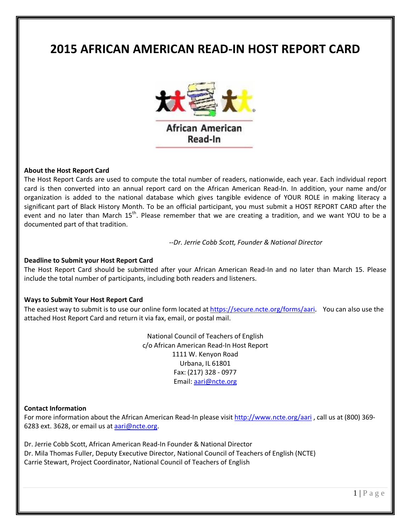# **2015 AFRICAN AMERICAN READ-IN HOST REPORT CARD**



## **About the Host Report Card**

The Host Report Cards are used to compute the total number of readers, nationwide, each year. Each individual report card is then converted into an annual report card on the African American Read-In. In addition, your name and/or organization is added to the national database which gives tangible evidence of YOUR ROLE in making literacy a significant part of Black History Month. To be an official participant, you must submit a HOST REPORT CARD after the event and no later than March 15<sup>th</sup>. Please remember that we are creating a tradition, and we want YOU to be a documented part of that tradition.

*--Dr. Jerrie Cobb Scott, Founder & National Director*

#### **Deadline to Submit your Host Report Card**

The Host Report Card should be submitted after your African American Read-In and no later than March 15. Please include the total number of participants, including both readers and listeners.

#### **Ways to Submit Your Host Report Card**

The easiest way to submit is to use our online form located at https://secure.ncte.org/forms/aari. You can also use the attached Host Report Card and return it via fax, email, or postal mail.

> National Council of Teachers of English c/o African American Read-In Host Report 1111 W. Kenyon Road Urbana, IL 61801 Fax: (217) 328 - 0977 Email: aari@ncte.org

## **Contact Information**

For more information about the African American Read-In please visit http://www.ncte.org/aari , call us at (800) 369- 6283 ext. 3628, or email us at aari@ncte.org.

Dr. Jerrie Cobb Scott, African American Read-In Founder & National Director Dr. Mila Thomas Fuller, Deputy Executive Director, National Council of Teachers of English (NCTE) Carrie Stewart, Project Coordinator, National Council of Teachers of English